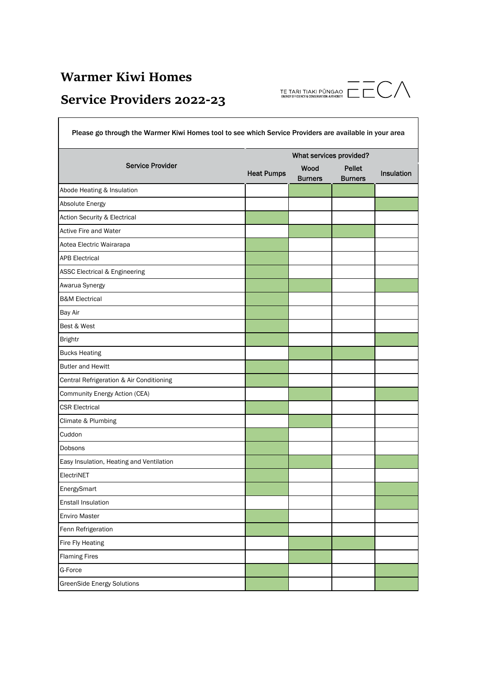## **Warmer Kiwi Homes**

## **Service Providers 2022‐23**

| Please go through the Warmer Kiwi Homes tool to see which Service Providers are available in your area |                         |                        |                                 |            |  |  |
|--------------------------------------------------------------------------------------------------------|-------------------------|------------------------|---------------------------------|------------|--|--|
| <b>Service Provider</b>                                                                                | What services provided? |                        |                                 |            |  |  |
|                                                                                                        | <b>Heat Pumps</b>       | Wood<br><b>Burners</b> | <b>Pellet</b><br><b>Burners</b> | Insulation |  |  |
| Abode Heating & Insulation                                                                             |                         |                        |                                 |            |  |  |
| Absolute Energy                                                                                        |                         |                        |                                 |            |  |  |
| <b>Action Security &amp; Electrical</b>                                                                |                         |                        |                                 |            |  |  |
| <b>Active Fire and Water</b>                                                                           |                         |                        |                                 |            |  |  |
| Aotea Electric Wairarapa                                                                               |                         |                        |                                 |            |  |  |
| <b>APB Electrical</b>                                                                                  |                         |                        |                                 |            |  |  |
| <b>ASSC Electrical &amp; Engineering</b>                                                               |                         |                        |                                 |            |  |  |
| Awarua Synergy                                                                                         |                         |                        |                                 |            |  |  |
| <b>B&amp;M Electrical</b>                                                                              |                         |                        |                                 |            |  |  |
| <b>Bay Air</b>                                                                                         |                         |                        |                                 |            |  |  |
| Best & West                                                                                            |                         |                        |                                 |            |  |  |
| <b>Brightr</b>                                                                                         |                         |                        |                                 |            |  |  |
| <b>Bucks Heating</b>                                                                                   |                         |                        |                                 |            |  |  |
| <b>Butler and Hewitt</b>                                                                               |                         |                        |                                 |            |  |  |
| Central Refrigeration & Air Conditioning                                                               |                         |                        |                                 |            |  |  |
| Community Energy Action (CEA)                                                                          |                         |                        |                                 |            |  |  |
| <b>CSR Electrical</b>                                                                                  |                         |                        |                                 |            |  |  |
| Climate & Plumbing                                                                                     |                         |                        |                                 |            |  |  |
| Cuddon                                                                                                 |                         |                        |                                 |            |  |  |
| Dobsons                                                                                                |                         |                        |                                 |            |  |  |
| Easy Insulation, Heating and Ventilation                                                               |                         |                        |                                 |            |  |  |
| ElectriNET                                                                                             |                         |                        |                                 |            |  |  |
| <b>EnergySmart</b>                                                                                     |                         |                        |                                 |            |  |  |
| <b>Enstall Insulation</b>                                                                              |                         |                        |                                 |            |  |  |
| <b>Enviro Master</b>                                                                                   |                         |                        |                                 |            |  |  |
| Fenn Refrigeration                                                                                     |                         |                        |                                 |            |  |  |
| Fire Fly Heating                                                                                       |                         |                        |                                 |            |  |  |
| <b>Flaming Fires</b>                                                                                   |                         |                        |                                 |            |  |  |
| G-Force                                                                                                |                         |                        |                                 |            |  |  |
| <b>GreenSide Energy Solutions</b>                                                                      |                         |                        |                                 |            |  |  |

 $\overline{\text{TE TARI TIARI FUNGAO}} \ \overline{\text{TE TARI TIAKI FÜNSAO}} \ \overline{\text{TE T}} \ \overline{\text{CD}} \ \overline{\text{CD}}$